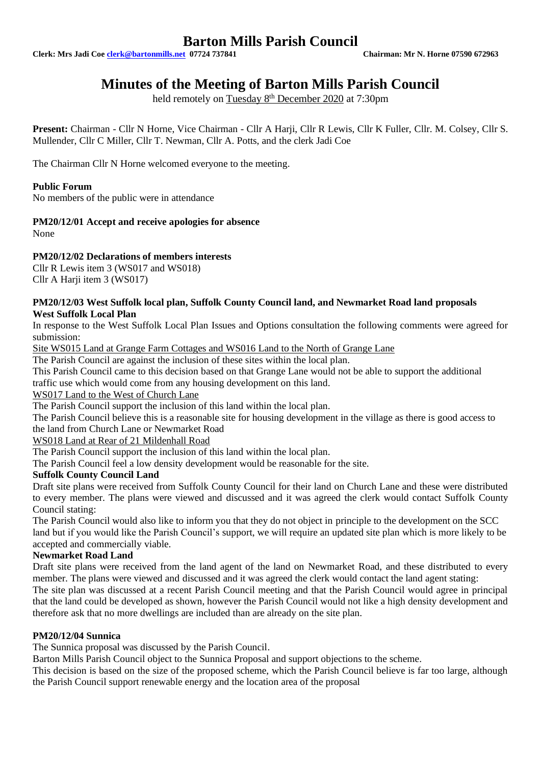# **Barton Mills Parish Council**

**Clerk: Mrs Jadi Coe [clerk@bartonmills.net](mailto:clerk@bartonmills.net) 07724 737841 Chairman: Mr N. Horne 07590 672963**

# **Minutes of the Meeting of Barton Mills Parish Council**

held remotely on Tuesday 8<sup>th</sup> December 2020 at 7:30pm

Present: Chairman - Cllr N Horne, Vice Chairman - Cllr A Harji, Cllr R Lewis, Cllr K Fuller, Cllr. M. Colsey, Cllr S. Mullender, Cllr C Miller, Cllr T. Newman, Cllr A. Potts, and the clerk Jadi Coe

The Chairman Cllr N Horne welcomed everyone to the meeting.

## **Public Forum**

No members of the public were in attendance

## **PM20/12/01 Accept and receive apologies for absence**

None

# **PM20/12/02 Declarations of members interests**

Cllr R Lewis item 3 (WS017 and WS018)

Cllr A Harji item 3 (WS017)

### **PM20/12/03 West Suffolk local plan, Suffolk County Council land, and Newmarket Road land proposals West Suffolk Local Plan**

In response to the West Suffolk Local Plan Issues and Options consultation the following comments were agreed for submission:

Site WS015 Land at Grange Farm Cottages and WS016 Land to the North of Grange Lane

The Parish Council are against the inclusion of these sites within the local plan.

This Parish Council came to this decision based on that Grange Lane would not be able to support the additional traffic use which would come from any housing development on this land.

WS017 Land to the West of Church Lane

The Parish Council support the inclusion of this land within the local plan.

The Parish Council believe this is a reasonable site for housing development in the village as there is good access to the land from Church Lane or Newmarket Road

### WS018 Land at Rear of 21 Mildenhall Road

The Parish Council support the inclusion of this land within the local plan.

The Parish Council feel a low density development would be reasonable for the site.

### **Suffolk County Council Land**

Draft site plans were received from Suffolk County Council for their land on Church Lane and these were distributed to every member. The plans were viewed and discussed and it was agreed the clerk would contact Suffolk County Council stating:

The Parish Council would also like to inform you that they do not object in principle to the development on the SCC land but if you would like the Parish Council's support, we will require an updated site plan which is more likely to be accepted and commercially viable.

### **Newmarket Road Land**

Draft site plans were received from the land agent of the land on Newmarket Road, and these distributed to every member. The plans were viewed and discussed and it was agreed the clerk would contact the land agent stating:

The site plan was discussed at a recent Parish Council meeting and that the Parish Council would agree in principal that the land could be developed as shown, however the Parish Council would not like a high density development and therefore ask that no more dwellings are included than are already on the site plan.

## **PM20/12/04 Sunnica**

The Sunnica proposal was discussed by the Parish Council.

Barton Mills Parish Council object to the Sunnica Proposal and support objections to the scheme.

This decision is based on the size of the proposed scheme, which the Parish Council believe is far too large, although the Parish Council support renewable energy and the location area of the proposal